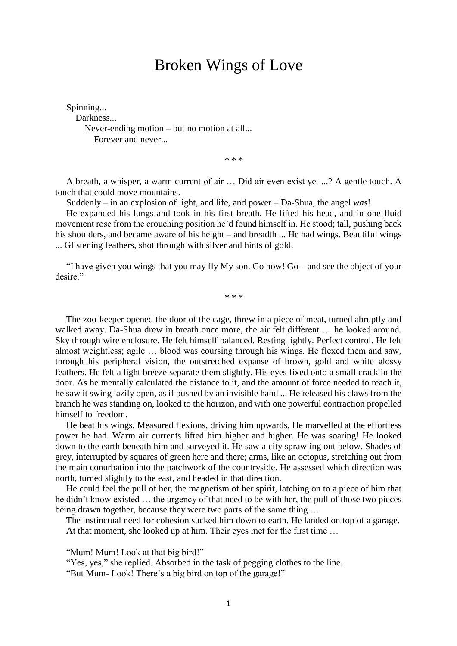## Broken Wings of Love

Spinning... Darkness... Never-ending motion – but no motion at all... Forever and never...

\* \* \*

A breath, a whisper, a warm current of air … Did air even exist yet ...? A gentle touch. A touch that could move mountains.

Suddenly – in an explosion of light, and life, and power – Da-Shua, the angel *was*!

He expanded his lungs and took in his first breath. He lifted his head, and in one fluid movement rose from the crouching position he'd found himself in. He stood; tall, pushing back his shoulders, and became aware of his height – and breadth ... He had wings. Beautiful wings ... Glistening feathers, shot through with silver and hints of gold.

"I have given you wings that you may fly My son. Go now! Go – and see the object of your desire."

\* \* \*

The zoo-keeper opened the door of the cage, threw in a piece of meat, turned abruptly and walked away. Da-Shua drew in breath once more, the air felt different … he looked around. Sky through wire enclosure. He felt himself balanced. Resting lightly. Perfect control. He felt almost weightless; agile … blood was coursing through his wings. He flexed them and saw, through his peripheral vision, the outstretched expanse of brown, gold and white glossy feathers. He felt a light breeze separate them slightly. His eyes fixed onto a small crack in the door. As he mentally calculated the distance to it, and the amount of force needed to reach it, he saw it swing lazily open, as if pushed by an invisible hand ... He released his claws from the branch he was standing on, looked to the horizon, and with one powerful contraction propelled himself to freedom.

He beat his wings. Measured flexions, driving him upwards. He marvelled at the effortless power he had. Warm air currents lifted him higher and higher. He was soaring! He looked down to the earth beneath him and surveyed it. He saw a city sprawling out below. Shades of grey, interrupted by squares of green here and there; arms, like an octopus, stretching out from the main conurbation into the patchwork of the countryside. He assessed which direction was north, turned slightly to the east, and headed in that direction.

He could feel the pull of her, the magnetism of her spirit, latching on to a piece of him that he didn't know existed … the urgency of that need to be with her, the pull of those two pieces being drawn together, because they were two parts of the same thing ...

The instinctual need for cohesion sucked him down to earth. He landed on top of a garage. At that moment, she looked up at him. Their eyes met for the first time …

"Mum! Mum! Look at that big bird!"

"Yes, yes," she replied. Absorbed in the task of pegging clothes to the line.

"But Mum- Look! There's a big bird on top of the garage!"